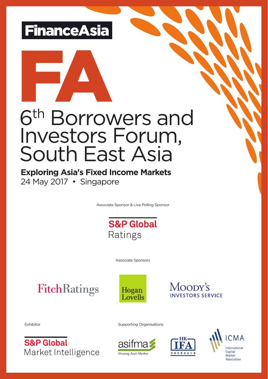



# 6<sup>th</sup> Borrowers and Investors Forum, South East Asia

**Exploring Asia's Fixed Income Markets** 24 May 2017 • Singapore

Associate Sponsor & Live Polling Sponsor



Associate Sponsors

**FitchRatings** 





Exhibitor

**S&P Global** Market Intelligence Supporting Organisations





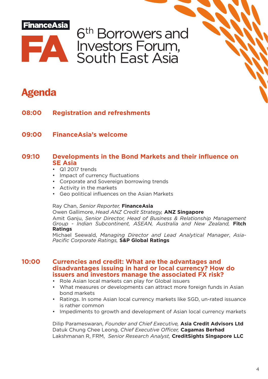

6<sup>th</sup> Borrowers and Investors Forum, South East Asia

# **Agenda**

- **08:00 Registration and refreshments**
- **09:00 FinanceAsia's welcome**

## **09:10 Developments in the Bond Markets and their influence on SE Asia**

- Q1 2017 trends
- Impact of currency fluctuations
- Corporate and Sovereign borrowing trends
- Activity in the markets
- Geo political influences on the Asian Markets

#### Ray Chan, *Senior Reporter,* **FinanceAsia**

Owen Gallimore, *Head ANZ Credit Strategy,* **ANZ Singapore** Amit Ganju, *Senior Director, Head of Business & Relationship Management Group - Indian Subcontinent, ASEAN, Australia and New Zealand,* **Fitch Ratings**

Michael Seewald, *Managing Director and Lead Analytical Manager*, *Asia-Pacific Corporate Ratings,* **S&P Global Ratings**

#### **10:00 Currencies and credit: What are the advantages and disadvantages issuing in hard or local currency? How do issuers and investors manage the associated FX risk?**

- Role Asian local markets can play for Global issuers
- What measures or developments can attract more foreign funds in Asian bond markets
- Ratings. In some Asian local currency markets like SGD, un-rated issuance is rather common
- Impediments to growth and development of Asian local currency markets

Dilip Parameswaran, *Founder and Chief Executive,* **Asia Credit Advisors Ltd** Datuk Chung Chee Leong, *Chief Executive Officer,* **Cagamas Berhad** Lakshmanan R, FRM, *Senior Research Analyst,* **CreditSights Singapore LLC**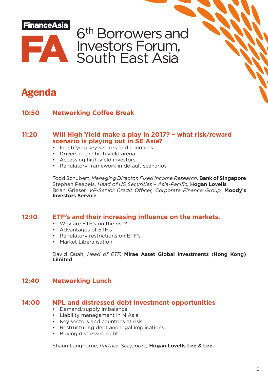



# **Agenda**

### **10:50 Networking Coffee Break**

#### **11:20 Will High Yield make a play in 2017? – what risk/reward scenario is playing out in SE Asia?**

- Identifying key sectors and countries
- Drivers in the high yield arena
- Accessing high yield investors
- Regulatory framework in default scenarios

Todd Schubert, *Managing Director, Fixed Income Research,* **Bank of Singapore** Stephen Peepels, *Head of US Securities – Asia-Pacific,* **Hogan Lovells** Brian Grieser, *VP-Senior Credit Officer, Corporate Finance Group,* **Moody's Investors Service**

### **12:10 ETF's and their increasing influence on the markets.**

- Why are ETF's on the rise?
- Advantages of ETF's
- Regulatory restrictions on ETF's
- Market Liberalisation

David Quah, *Head of ETF,* **Mirae Asset Global Investments (Hong Kong) Limited**

### **12:40 Networking Lunch**

#### **14:00 NPL and distressed debt investment opportunities**

- Demand/supply imbalance
- Liability management in N Asia
- Key sectors and countries at risk
- Restructuring debt and legal implications
- Buying distressed debt

Shaun Langhorne, *Partner, Singapore,* **Hogan Lovells Lee & Lee**